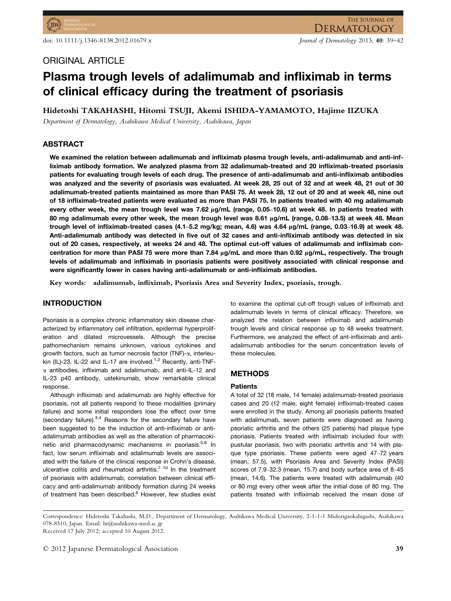# ORIGINAL ARTICLE

# Plasma trough levels of adalimumab and infliximab in terms of clinical efficacy during the treatment of psoriasis

Hidetoshi TAKAHASHI, Hitomi TSUJI, Akemi ISHIDA-YAMAMOTO, Hajime IIZUKA

Department of Dermatology, Asahikawa Medical University, Asahikawa, Japan

# ABSTRACT

We examined the relation between adalimumab and infliximab plasma trough levels, anti-adalimumab and anti-infliximab antibody formation. We analyzed plasma from 32 adalimumab-treated and 20 infliximab-treated psoriasis patients for evaluating trough levels of each drug. The presence of anti-adalimumab and anti-infliximab antibodies was analyzed and the severity of psoriasis was evaluated. At week 28, 25 out of 32 and at week 48, 21 out of 30 adalimumab-treated patients maintained as more than PASI 75. At week 28, 12 out of 20 and at week 48, nine out of 18 infliximab-treated patients were evaluated as more than PASI 75. In patients treated with 40 mg adalimumab every other week, the mean trough level was 7.62 µg/mL (range, 0.05–10.6) at week 48. In patients treated with 80 mg adalimumab every other week, the mean trough level was 8.61  $\mu$ g/mL (range, 0.08–13.5) at week 48. Mean trough level of infliximab-treated cases (4.1–5.2 mg/kg; mean, 4.6) was 4.64 µg/mL (range, 0.03–16.9) at week 48. Anti-adalimumab antibody was detected in five out of 32 cases and anti-infliximab antibody was detected in six out of 20 cases, respectively, at weeks 24 and 48. The optimal cut-off values of adalimumab and infliximab concentration for more than PASI 75 were more than 7.84 ug/mL and more than 0.92 ug/mL, respectively. The trough levels of adalimumab and infliximab in psoriasis patients were positively associated with clinical response and were significantly lower in cases having anti-adalimumab or anti-infliximab antibodies.

Key words: adalimumab, infliximab, Psoriasis Area and Severity Index, psoriasis, trough.

## INTRODUCTION

Psoriasis is a complex chronic inflammatory skin disease characterized by inflammatory cell infiltration, epidermal hyperproliferation and dilated microvessels. Although the precise pathomechanism remains unknown, various cytokines and growth factors, such as tumor necrosis factor (TNF)-a, interleukin (IL)-23, IL-22 and IL-17 are involved.<sup>1,2</sup> Recently, anti-TNF- $\alpha$  antibodies, infliximab and adalimumab, and anti-IL-12 and IL-23 p40 antibody, ustekinumab, show remarkable clinical response.

Although infliximab and adalimumab are highly effective for psoriasis, not all patients respond to these modalities (primary failure) and some initial responders lose the effect over time (secondary failure). $3,4$  Reasons for the secondary failure have been suggested to be the induction of anti-infliximab or antiadalimumab antibodies as well as the alteration of pharmacokinetic and pharmacodynamic mechanisms in psoriasis.<sup>5,6</sup> In fact, low serum infliximab and adalimumab levels are associated with the failure of the clinical response in Crohn's disease, ulcerative colitis and rheumatoid arthritis. $7-10$  In the treatment of psoriasis with adalimumab, correlation between clinical efficacy and anti-adalimumab antibody formation during 24 weeks of treatment has been described.<sup>6</sup> However, few studies exist to examine the optimal cut-off trough values of infliximab and adalimumab levels in terms of clinical efficacy. Therefore, we analyzed the relation between infliximab and adalimumab trough levels and clinical response up to 48 weeks treatment. Furthermore, we analyzed the effect of ant-infliximab and antiadalimumab antibodies for the serum concentration levels of these molecules.

# METHODS

## **Patients**

A total of 32 (18 male, 14 female) adalimumab-treated psoriasis cases and 20 (12 male, eight female) infliximab-treated cases were enrolled in the study. Among all psoriasis patients treated with adalimumab, seven patients were diagnosed as having psoriatic arthritis and the others (25 patients) had plaque type psoriasis. Patients treated with infliximab included four with pustular psoriasis, two with psoriatic arthritis and 14 with plaque type psoriasis. These patients were aged 47–72 years (mean, 57.5), with Psoriasis Area and Severity Index (PASI) scores of 7.9–32.3 (mean, 15.7) and body surface area of 8–45 (mean, 14.6). The patients were treated with adalimumab (40 or 80 mg) every other week after the initial dose of 80 mg. The patients treated with infliximab received the mean dose of

Received 17 July 2012; accepted 10 August 2012.

Correspondence: Hidetoshi Takahashi, M.D., Department of Dermatology, Asahikawa Medical University, 2-1-1-1 Midorigaokahigashi, Asahikawa 078-8510, Japan. Email: ht@asahikawa-med.ac.jp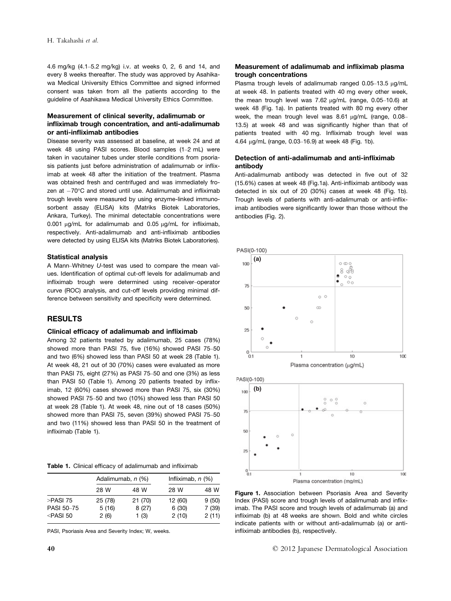4.6 mg/kg (4.1–5.2 mg/kg) i.v. at weeks 0, 2, 6 and 14, and every 8 weeks thereafter. The study was approved by Asahikawa Medical University Ethics Committee and signed informed consent was taken from all the patients according to the guideline of Asahikawa Medical University Ethics Committee.

## Measurement of clinical severity, adalimumab or infliximab trough concentration, and anti-adalimumab or anti-infliximab antibodies

Disease severity was assessed at baseline, at week 24 and at week 48 using PASI scores. Blood samples (1–2 mL) were taken in vacutainer tubes under sterile conditions from psoriasis patients just before administration of adalimumab or infliximab at week 48 after the initiation of the treatment. Plasma was obtained fresh and centrifuged and was immediately frozen at  $-70^{\circ}$ C and stored until use. Adalimumab and infliximab trough levels were measured by using enzyme-linked immunosorbent assay (ELISA) kits (Matriks Biotek Laboratories, Ankara, Turkey). The minimal detectable concentrations were  $0.001$  ug/mL for adalimumab and  $0.05$  ug/mL for infliximab. respectively. Anti-adalimumab and anti-infliximab antibodies were detected by using ELISA kits (Matriks Biotek Laboratories).

#### Statistical analysis

A Mann–Whitney U-test was used to compare the mean values. Identification of optimal cut-off levels for adalimumab and infliximab trough were determined using receiver–operator curve (ROC) analysis, and cut-off levels providing minimal difference between sensitivity and specificity were determined.

## RESULTS

#### Clinical efficacy of adalimumab and infliximab

Among 32 patients treated by adalimumab, 25 cases (78%) showed more than PASI 75, five (16%) showed PASI 75–50 and two (6%) showed less than PASI 50 at week 28 (Table 1). At week 48, 21 out of 30 (70%) cases were evaluated as more than PASI 75, eight (27%) as PASI 75–50 and one (3%) as less than PASI 50 (Table 1). Among 20 patients treated by infliximab, 12 (60%) cases showed more than PASI 75, six (30%) showed PASI 75–50 and two (10%) showed less than PASI 50 at week 28 (Table 1). At week 48, nine out of 18 cases (50%) showed more than PASI 75, seven (39%) showed PASI 75–50 and two (11%) showed less than PASI 50 in the treatment of infliximab (Table 1).

Table 1. Clinical efficacy of adalimumab and infliximab

|                                                                                                                                                                                                         | Adalimumab, n (%)        |                         | Infliximab, $n$ (%)       |                          |
|---------------------------------------------------------------------------------------------------------------------------------------------------------------------------------------------------------|--------------------------|-------------------------|---------------------------|--------------------------|
|                                                                                                                                                                                                         | 28 W                     | 48 W                    | 28 W                      | 48 W                     |
| >PASI 75<br><b>PASI 50-75</b><br><pasi 50<="" td=""><td>25 (78)<br/>5(16)<br/>2(6)</td><td>21(70)<br/>8(27)<br/>1(3)</td><td>12 (60)<br/>6(30)<br/>2(10)</td><td>9(50)<br/>7 (39)<br/>2(11)</td></pasi> | 25 (78)<br>5(16)<br>2(6) | 21(70)<br>8(27)<br>1(3) | 12 (60)<br>6(30)<br>2(10) | 9(50)<br>7 (39)<br>2(11) |

PASI, Psoriasis Area and Severity Index; W, weeks.

Plasma trough levels of adalimumab ranged  $0.05-13.5 \mu q/mL$ at week 48. In patients treated with 40 mg every other week, the mean trough level was  $7.62 \mu q/mL$  (range, 0.05–10.6) at week 48 (Fig. 1a). In patients treated with 80 mg every other week, the mean trough level was  $8.61 \mu$ g/mL (range, 0.08– 13.5) at week 48 and was significantly higher than that of patients treated with 40 mg. Infliximab trough level was 4.64 lg/mL (range, 0.03–16.9) at week 48 (Fig. 1b).

## Detection of anti-adalimumab and anti-infliximab antibody

Anti-adalimumab antibody was detected in five out of 32 (15.6%) cases at week 48 (Fig.1a). Anti-infliximab antibody was detected in six out of 20 (30%) cases at week 48 (Fig. 1b). Trough levels of patients with anti-adalimumab or anti-infliximab antibodies were significantly lower than those without the antibodies (Fig. 2).





Figure 1. Association between Psoriasis Area and Severity Index (PASI) score and trough levels of adalimumab and infliximab. The PASI score and trough levels of adalimumab (a) and infliximab (b) at 48 weeks are shown. Bold and white circles indicate patients with or without anti-adalimumab (a) or antiinfliximab antibodies (b), respectively.

40 © 2012 Japanese Dermatological Association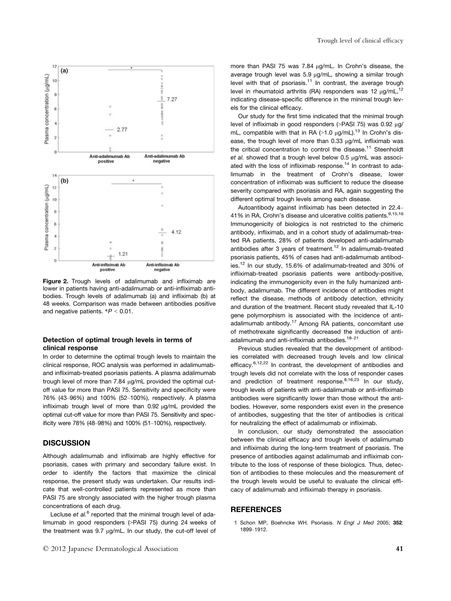

Figure 2. Trough levels of adalimumab and infliximab are lower in patients having anti-adalimumab or anti-infliximab antibodies. Trough levels of adalimumab (a) and infliximab (b) at 48 weeks. Comparison was made between antibodies positive and negative patients.  $*P < 0.01$ .

#### Detection of optimal trough levels in terms of clinical response

In order to determine the optimal trough levels to maintain the clinical response, ROC analysis was performed in adalimumaband infliximab-treated psoriasis patients. A plasma adalimumab trough level of more than 7.84 µg/mL provided the optimal cutoff value for more than PASI 75. Sensitivity and specificity were 76% (43–96%) and 100% (52–100%), respectively. A plasma infliximab trough level of more than  $0.92 \mu g/mL$  provided the optimal cut-off value for more than PASI 75. Sensitivity and specificity were 78% (48–98%) and 100% (51–100%), respectively.

# **DISCUSSION**

Although adalimumab and infliximab are highly effective for psoriasis, cases with primary and secondary failure exist. In order to identify the factors that maximize the clinical response, the present study was undertaken. Our results indicate that well-controlled patients represented as more than PASI 75 are strongly associated with the higher trough plasma concentrations of each drug.

Lecluse et  $al<sup>6</sup>$  reported that the minimal trough level of adalimumab in good responders (>PASI 75) during 24 weeks of the treatment was  $9.7 \mu q/mL$ . In our study, the cut-off level of more than PASI 75 was 7.84  $\mu$ g/mL. In Crohn's disease, the average trough level was 5.9 ug/mL, showing a similar trough level with that of psoriasis.<sup>11</sup> In contrast, the average trough level in rheumatoid arthritis (RA) responders was 12  $\mu$ g/mL,<sup>12</sup> indicating disease-specific difference in the minimal trough levels for the clinical efficacy.

Our study for the first time indicated that the minimal trough level of infliximab in good responders  $($ >PASI 75) was 0.92  $\mu$ g/ mL, compatible with that in RA  $(>1.0 \mu g/mL)$ .<sup>13</sup> In Crohn's disease, the trough level of more than  $0.33 \mu q/mL$  infliximab was the critical concentration to control the disease.<sup>11</sup> Steenholdt et al. showed that a trough level below  $0.5 \mu$ g/mL was associated with the loss of infliximab response.<sup>14</sup> In contrast to adalimumab in the treatment of Crohn's disease, lower concentration of infliximab was sufficient to reduce the disease severity compared with psoriasis and RA, again suggesting the different optimal trough levels among each disease.

Autoantibody against infliximab has been detected in 22.4– 41% in RA, Crohn's disease and ulcerative colitis patients.<sup>9,15,16</sup> Immunogenicity of biologics is not restricted to the chimeric antibody, infliximab, and in a cohort study of adalimumab-treated RA patients, 28% of patients developed anti-adalimumab antibodies after 3 years of treatment.<sup>12</sup> In adalimumab-treated psoriasis patients, 45% of cases had anti-adalimumab antibodies.12 In our study, 15.6% of adalimumab-treated and 30% of infliximab-treated psoriasis patients were antibody-positive, indicating the immunogenicity even in the fully humanized antibody, adalimumab. The different incidence of antibodies might reflect the disease, methods of antibody detection, ethnicity and duration of the treatment. Recent study revealed that IL-10 gene polymorphism is associated with the incidence of antiadalimumab antibody.17 Among RA patients, concomitant use of methotrexate significantly decreased the induction of antiadalimumab and anti-infliximab antibodies.<sup>18-21</sup>

Previous studies revealed that the development of antibodies correlated with decreased trough levels and low clinical efficacy.<sup>6,12,22</sup> In contrast, the development of antibodies and trough levels did not correlate with the loss of responder cases and prediction of treatment response. $8,16,23$  In our study, trough levels of patients with anti-adalimumab or anti-infliximab antibodies were significantly lower than those without the antibodies. However, some responders exist even in the presence of antibodies, suggesting that the titer of antibodies is critical for neutralizing the effect of adalimumab or infliximab.

In conclusion, our study demonstrated the association between the clinical efficacy and trough levels of adalimumab and infliximab during the long-term treatment of psoriasis. The presence of antibodies against adalimumab and infliximab contribute to the loss of response of these biologics. Thus, detection of antibodies to these molecules and the measurement of the trough levels would be useful to evaluate the clinical efficacy of adalimumab and infliximab therapy in psoriasis.

## REFERENCES

1 Schon MP, Boehncke WH. Psoriasis. N Engl J Med 2005; 352: 1899–1912.